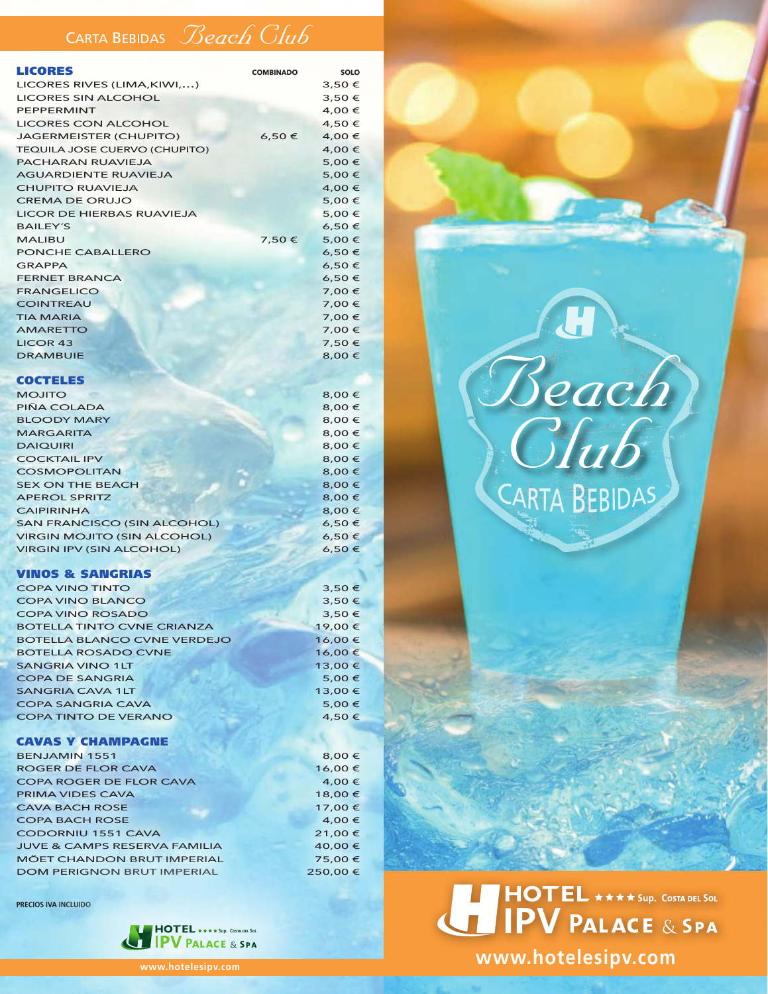### CARTA BEBIDAS *Beach Club*

| <b>LICORES</b>                   | <b>COMBINADO</b> | SOLO   |
|----------------------------------|------------------|--------|
| LICORES RIVES (LIMA, KIWI,)      | 3,50€            |        |
| <b>LICORES SIN ALCOHOL</b>       |                  | 3,50€  |
| <b>PEPPERMINT</b>                |                  | 4,00 € |
| <b>LICORES CON ALCOHOL</b>       |                  | 4,50 € |
| JAGERMEISTER (CHUPITO)           | 6,50€            | 4,00 € |
| TEQUILA JOSE CUERVO (CHUPITO)    |                  | 4,00 € |
| <b>PACHARAN RUAVIEJA</b>         |                  | 5,00€  |
| <b>AGUARDIENTE RUAVIEJA</b>      |                  | 5,00 € |
| <b>CHUPITO RUAVIEJA</b>          |                  | 4,00 € |
| <b>CREMA DE ORUJO</b>            |                  | 5,00 € |
| <b>LICOR DE HIERBAS RUAVIEJA</b> |                  | 5,00€  |
| <b>BAILEY'S</b>                  |                  | 6,50€  |
| <b>MALIBU</b>                    | 7,50€            | 5,00 € |
| PONCHE CABALLERO                 |                  | 6,50€  |
| <b>GRAPPA</b>                    |                  | 6,50€  |
| <b>FERNET BRANCA</b>             |                  | 6,50€  |
| <b>FRANGELICO</b>                |                  | 7,00 € |
| <b>COINTREAU</b>                 |                  | 7,00 € |
| <b>TIA MARIA</b>                 |                  | 7,00 € |
| <b>AMARETTO</b>                  |                  | 7,00 € |
| <b>LICOR 43</b>                  |                  | 7,50€  |
| <b>DRAMBUIE</b>                  |                  | 8,00 € |

#### **COCTELES**

| <b>MOJITO</b>                      | 8,00€  |
|------------------------------------|--------|
| PIÑA COLADA                        | 8,00 € |
| <b>BLOODY MARY</b>                 | 8,00€  |
| <b>MARGARITA</b>                   | 8,00 € |
| <b>DAIQUIRI</b>                    | 8,00€  |
| <b>COCKTAIL IPV</b>                | 8,00€  |
| <b>COSMOPOLITAN</b>                | 8,00€  |
| <b>SEX ON THE BEACH</b>            | 8,00€  |
| <b>APEROL SPRITZ</b>               | 8,00€  |
| <b>CAIPIRINHA</b>                  | 8,00€  |
| <b>SAN FRANCISCO (SIN ALCOHOL)</b> | 6,50€  |
| <b>VIRGIN MOJITO (SIN ALCOHOL)</b> | 6,50€  |
| <b>VIRGIN IPV (SIN ALCOHOL)</b>    | 6,50€  |
|                                    |        |

#### VINOS & SANGRIAS

| <b>COPA VINO TINTO</b>             | 3,50€   |
|------------------------------------|---------|
| <b>COPA VINO BLANCO</b>            | 3,50€   |
| <b>COPA VINO ROSADO</b>            | 3,50€   |
| <b>BOTELLA TINTO CVNE CRIANZA</b>  | 19,00€  |
| <b>BOTELLA BLANCO CVNE VERDEJO</b> | 16,00€  |
| <b>BOTELLA ROSADO CVNE</b>         | 16,00€  |
| <b>SANGRIA VINO 1LT</b>            | 13,00 € |
| <b>COPA DE SANGRIA</b>             | 5,00€   |
| <b>SANGRIA CAVA 1LT</b>            | 13,00 € |
| <b>COPA SANGRIA CAVA</b>           | 5,00 €  |
| <b>COPA TINTO DE VERANO</b>        | 4,50€   |
|                                    |         |

#### CAVAS Y CHAMPAGNE

| <b>BENJAMIN 1551</b>                    | 8,00 €  |
|-----------------------------------------|---------|
| <b>ROGER DE FLOR CAVA</b>               | 16,00€  |
| <b>COPA ROGER DE FLOR CAVA</b>          | 4,00 €  |
| <b>PRIMA VIDES CAVA</b>                 | 18,00 € |
| <b>CAVA BACH ROSE</b>                   | 17,00 € |
| <b>COPA BACH ROSE</b>                   | 4,00 €  |
| <b>CODORNIU 1551 CAVA</b>               | 21,00€  |
| <b>JUVE &amp; CAMPS RESERVA FAMILIA</b> | 40,00 € |
| <b>MÖET CHANDON BRUT IMPERIAL</b>       | 75,00€  |
| <b>DOM PERIGNON BRUT IMPERIAL</b>       | 250,00€ |

**PRECIOS IVA INCLUIDO**



# *Beach Club*

## I HOTEL \*\*\*\*Sup. COSTA DEL SOL

**www.hotelesipv.com**

**www.hotelesipv.com**